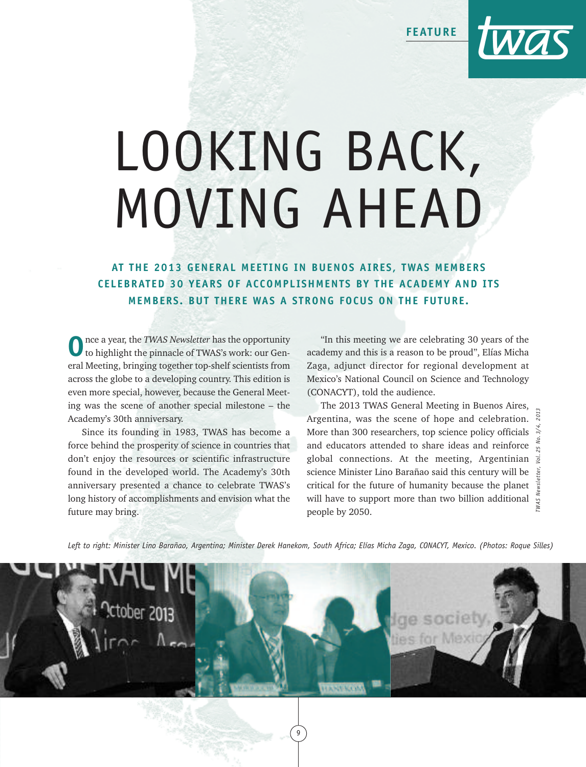**FEATURE**



## LOOKING BACK, MOVING AHEAD

**AT THE 2013 GENERAL MEETING IN BUENOS AIRES, TWAS MEMBERS CELEBRATED 30 YEARS OF ACCOMPLISHMENTS BY THE ACADEMY AND ITS MEMBERS. BUT THERE WAS A STRONG FOCUS ON THE FUTURE.**

**O**nce <sup>a</sup> year, the *TWAS Newsletter* has the opportunity to highlight the pinnacle of TWAS's work: our General Meeting, bringing together top-shelf scientists from across the globe to a developing country. This edition is even more special, however, because the General Meeting was the scene of another special milestone – the Academy's 30th anniversary.

Since its founding in 1983, TWAS has become a force behind the prosperity of science in countries that don't enjoy the resources or scientific infrastructure found in the developed world. The Academy's 30th anniversary presented a chance to celebrate TWAS's long history of accomplishments and envision what the future may bring.

"In this meeting we are celebrating 30 years of the academy and this is a reason to be proud", Elías Micha Zaga, adjunct director for regional development at Mexico's National Council on Science and Technology (CONACYT), told the audience.

The 2013 TWAS General Meeting in Buenos Aires, Argentina, was the scene of hope and celebration. More than 300 researchers, top science policy officials  $\approx$ and educators attended to share ideas and reinforce global connections. At the meeting, Argentinian science Minister Lino Barañao said this century will be critical for the future of humanity because the planet will have to support more than two billion additional people by 2050. *TWAS Newsletter, Vol. 25 No. 3/4, 2013*

Left to right: Minister Lino Barañao, Argentina; Minister Derek Hanekom, South Africa; Elías Micha Zaga, CONACYT, Mexico. (Photos: Roque Silles)